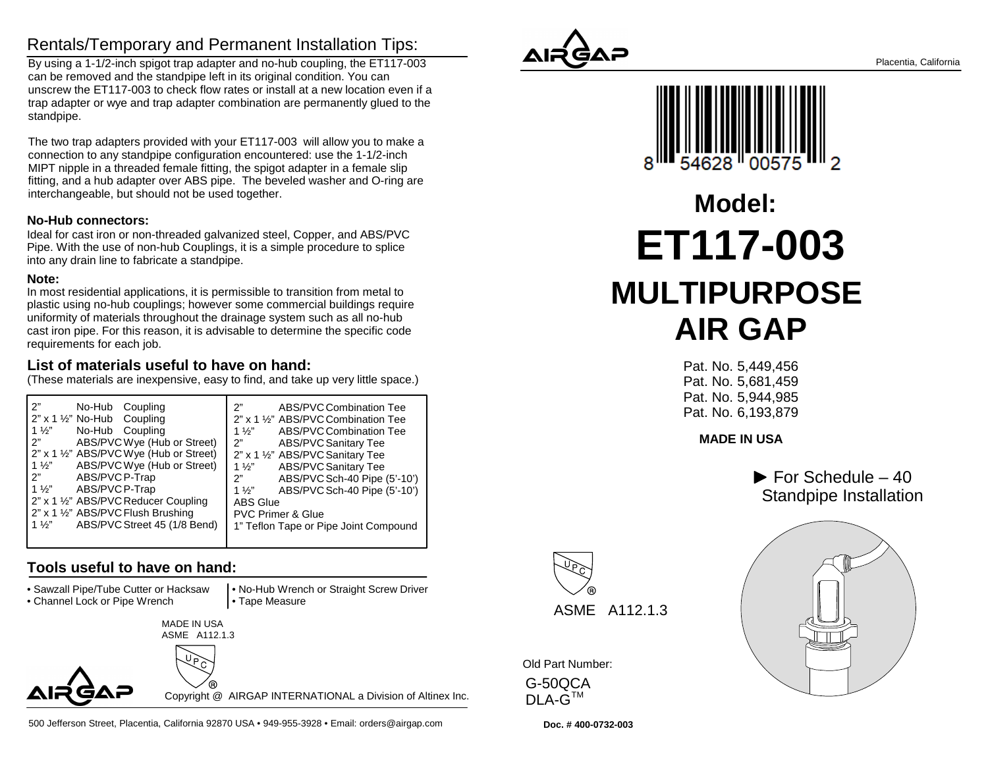### Rentals/Temporary and Permanent Installation Tips:

 By using a 1-1/2-inch spigot trap adapter and no-hub coupling, the ET117-003can be removed and the standpipe left in its original condition. You can unscrew the ET117-003 to check flow rates or install at a new location even if a trap adapter or wye and trap adapter combination are permanently glued to thestandpipe.

The two trap adapters provided with your ET117-003 will allow you to make aconnection to any standpipe configuration encountered: use the 1-1/2-inch MIPT nipple in a threaded female fitting, the spigot adapter in a female slip fitting, and a hub adapter over ABS pipe. The beveled washer and O-ring areinterchangeable, but should not be used together.

#### **No-Hub connectors:**

 Ideal for cast iron or non-threaded galvanized steel, Copper, and ABS/PVC Pipe. With the use of non-hub Couplings, it is a simple procedure to spliceinto any drain line to fabricate a standpipe.

#### **Note:**

 In most residential applications, it is permissible to transition from metal to plastic using no-hub couplings; however some commercial buildings requireuniformity of materials throughout the drainage system such as all no-hub cast iron pipe. For this reason, it is advisable to determine the specific coderequirements for each job.

#### **List of materials useful to have on hand:**

(These materials are inexpensive, easy to find, and take up very little space.)

| 2"                                              | ን"                                    |
|-------------------------------------------------|---------------------------------------|
| No-Hub Coupling                                 | ABS/PVC Combination Tee               |
| $2"$ x 1 $\frac{1}{2}$ " No-Hub Coupling        | 2" x 1 1/2" ABS/PVC Combination Tee   |
| $1\frac{1}{2}$                                  | $1\frac{1}{2}$                        |
| No-Hub Coupling                                 | ABS/PVC Combination Tee               |
| 2"                                              | 2"                                    |
| ABS/PVCWye (Hub or Street)                      | ABS/PVC Sanitary Tee                  |
| 2" x 1 1/2" ABS/PVC Wye (Hub or Street)         | 2" x 1 1/2" ABS/PVC Sanitary Tee      |
| ABS/PVC Wye (Hub or Street)                     | <b>ABS/PVC Sanitary Tee</b>           |
| $1\frac{1}{2}$                                  | $1\frac{1}{2}$                        |
| 2"                                              | ABS/PVC Sch-40 Pipe (5'-10')          |
| ABS/PVC P-Trap                                  | 2"                                    |
| $1\frac{1}{2}$                                  | ABS/PVC Sch-40 Pipe (5'-10')          |
| ABS/PVC P-Trap                                  | 1 $\frac{1}{2}$                       |
| 2" x 1 1/2" ABS/PVC Reducer Coupling            | <b>ABS Glue</b>                       |
| 2" x 1 1/2" ABS/PVC Flush Brushing              | <b>PVC Primer &amp; Glue</b>          |
| ABS/PVC Street 45 (1/8 Bend)<br>1 $\frac{1}{2}$ | 1" Teflon Tape or Pipe Joint Compound |

#### **Tools useful to have on hand:**

• Sawzall Pipe/Tube Cutter or Hacksaw

• Channel Lock or Pipe Wrench

 • No-Hub Wrench or Straight Screw Driver• Tape Measure





Copyright @ AIRGAP INTERNATIONAL a Division of Altinex Inc.

500 Jefferson Street, Placentia, California 92870 USA • 949-955-3928 • Email: orders@airgap.com





# **ET117-003 MULTIPURPOSE AIR GAPModel:**

 Pat. No. 5,449,456 Pat. No. 5,681,459 Pat. No. 5,944,985Pat. No. 6,193,879

**MADE IN USA**

 $\blacktriangleright$  For Schedule – 40 Standpipe Installation



Old Part Number: G-50QCA

<code>DLA-G $^{\sf TM}$ </code>

**Doc. # 400-0732-003**